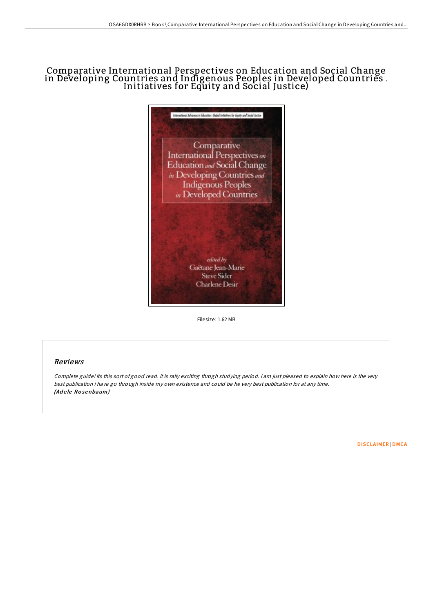# Comparative International Perspectives on Education and Social Change in Developing Countries and Indigenous Peoples in Developed Countries . Initiatives for Equity and Social Justice)



Filesize: 1.62 MB

## Reviews

Complete guide! Its this sort of good read. It is rally exciting throgh studying period. <sup>I</sup> am just pleased to explain how here is the very best publication i have go through inside my own existence and could be he very best publication for at any time. (Adele Rosenbaum)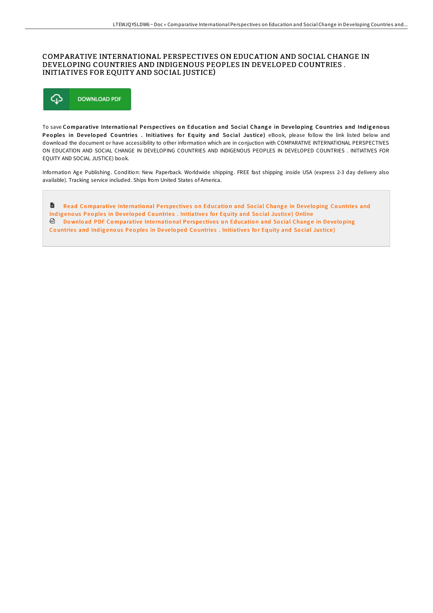### COMPARATIVE INTERNATIONAL PERSPECTIVES ON EDUCATION AND SOCIAL CHANGE IN DEVELOPING COUNTRIES AND INDIGENOUS PEOPLES IN DEVELOPED COUNTRIES . INITIATIVES FOR EQUITY AND SOCIAL JUSTICE)



To save Comparative International Perspectives on Education and Social Change in Developing Countries and Indigenous Peoples in Developed Countries . Initiatives for Equity and Social Justice) eBook, please follow the link listed below and download the document or have accessibility to other information which are in conjuction with COMPARATIVE INTERNATIONAL PERSPECTIVES ON EDUCATION AND SOCIAL CHANGE IN DEVELOPING COUNTRIES AND INDIGENOUS PEOPLES IN DEVELOPED COUNTRIES . INITIATIVES FOR EQUITY AND SOCIAL JUSTICE) book.

Information Age Publishing. Condition: New. Paperback. Worldwide shipping. FREE fast shipping inside USA (express 2-3 day delivery also available). Tracking service included. Ships from United States of America.

 $\blacksquare$ Read Co[mparative](http://almighty24.tech/comparative-international-perspectives-on-educat.html) International Perspectives on Education and Social Change in Developing Countries and Indigenous Peoples in Developed Countries . Initiatives for Equity and Social Justice) Online **Download PDF Co[mparative](http://almighty24.tech/comparative-international-perspectives-on-educat.html) International Perspectives on Education and Social Change in Developing** Countries and Indigenous Peoples in Developed Countries . Initiatives for Equity and Social Justice)